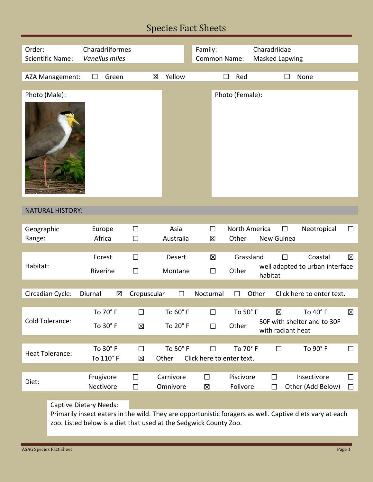## Species Fact Sheets

| Order:                                                                                                                 |                                                                                                          | Charadriiformes<br>Vanellus miles |           |             |           |                 | Family:<br><b>Common Name:</b> |                                                  |                           | Charadriidae<br><b>Masked Lapwing</b> |            |        |                                 |        |
|------------------------------------------------------------------------------------------------------------------------|----------------------------------------------------------------------------------------------------------|-----------------------------------|-----------|-------------|-----------|-----------------|--------------------------------|--------------------------------------------------|---------------------------|---------------------------------------|------------|--------|---------------------------------|--------|
|                                                                                                                        | <b>Scientific Name:</b>                                                                                  |                                   |           |             |           |                 |                                |                                                  |                           |                                       |            |        |                                 |        |
|                                                                                                                        |                                                                                                          | $\Box$                            | Green     |             | 区         | Yellow          |                                | П                                                | Red                       |                                       |            |        | None                            |        |
|                                                                                                                        | AZA Management:                                                                                          |                                   |           |             |           |                 |                                |                                                  |                           |                                       |            |        |                                 |        |
| Photo (Male):                                                                                                          |                                                                                                          |                                   |           |             |           |                 |                                |                                                  | Photo (Female):           |                                       |            |        |                                 |        |
|                                                                                                                        |                                                                                                          |                                   |           |             |           |                 |                                |                                                  |                           |                                       |            |        |                                 |        |
|                                                                                                                        |                                                                                                          |                                   |           |             |           |                 |                                |                                                  |                           |                                       |            |        |                                 |        |
|                                                                                                                        | <b>NATURAL HISTORY:</b>                                                                                  |                                   |           |             |           |                 |                                |                                                  |                           |                                       |            |        |                                 |        |
|                                                                                                                        |                                                                                                          |                                   |           | $\Box$      |           | Asia            | $\Box$                         |                                                  | North America             |                                       |            | □      |                                 | $\Box$ |
| Geographic<br>Range:                                                                                                   |                                                                                                          | Europe<br>Africa                  |           | $\Box$      |           | Australia       | 図                              |                                                  | Other                     |                                       | New Guinea |        | Neotropical                     |        |
|                                                                                                                        |                                                                                                          |                                   |           |             |           |                 |                                |                                                  |                           |                                       |            |        |                                 |        |
|                                                                                                                        |                                                                                                          | Forest                            |           | $\Box$      |           | Desert          | X                              |                                                  | Grassland                 |                                       |            | $\Box$ | Coastal                         | 区      |
| Habitat:                                                                                                               |                                                                                                          |                                   |           |             |           |                 |                                |                                                  |                           |                                       |            |        | well adapted to urban interface |        |
|                                                                                                                        |                                                                                                          | Riverine                          | $\Box$    |             | Montane   |                 | $\Box$                         |                                                  | Other                     | habitat                               |            |        |                                 |        |
|                                                                                                                        |                                                                                                          |                                   |           |             |           |                 |                                |                                                  |                           |                                       |            |        |                                 |        |
| Circadian Cycle:<br>Other<br>Click here to enter text.<br>Diurnal<br>区<br>Crepuscular<br>$\Box$<br>Nocturnal<br>$\Box$ |                                                                                                          |                                   |           |             |           |                 |                                |                                                  |                           |                                       |            |        |                                 |        |
|                                                                                                                        |                                                                                                          |                                   |           |             |           |                 |                                |                                                  |                           |                                       |            |        |                                 |        |
|                                                                                                                        |                                                                                                          |                                   | To 70° F  | $\Box$      |           | To 60° F        |                                | $\Box$                                           | To 50° F                  |                                       | 区          |        | To 40° F                        | 区      |
| Cold Tolerance:                                                                                                        |                                                                                                          | To 30° F<br>冈                     |           | To 20° F    |           | Other<br>$\Box$ |                                | 50F with shelter and to 30F<br>with radiant heat |                           |                                       |            |        |                                 |        |
|                                                                                                                        |                                                                                                          |                                   |           |             |           |                 |                                |                                                  |                           |                                       |            |        |                                 |        |
|                                                                                                                        |                                                                                                          |                                   | To 30° F  |             |           | To 50° F        |                                |                                                  | To 70° F                  |                                       |            |        |                                 |        |
| <b>Heat Tolerance:</b>                                                                                                 |                                                                                                          |                                   | To 110° F | $\Box$<br>区 | Other     |                 | $\Box$                         |                                                  | Click here to enter text. |                                       | $\Box$     |        | To 90° F                        | $\Box$ |
|                                                                                                                        |                                                                                                          |                                   |           |             |           |                 |                                |                                                  |                           |                                       |            |        |                                 |        |
|                                                                                                                        |                                                                                                          |                                   |           | $\Box$      | Carnivore |                 | $\Box$                         |                                                  | Piscivore                 |                                       | $\Box$     |        | Insectivore                     | $\Box$ |
| Diet:                                                                                                                  |                                                                                                          | Frugivore<br>Nectivore            |           | $\Box$      | Omnivore  |                 | 区                              |                                                  | Folivore                  |                                       | $\Box$     |        | Other (Add Below)               | $\Box$ |
|                                                                                                                        |                                                                                                          |                                   |           |             |           |                 |                                |                                                  |                           |                                       |            |        |                                 |        |
|                                                                                                                        | <b>Captive Dietary Needs:</b>                                                                            |                                   |           |             |           |                 |                                |                                                  |                           |                                       |            |        |                                 |        |
|                                                                                                                        | Primarily insect eaters in the wild. They are opportunistic foragers as well. Captive diets vary at each |                                   |           |             |           |                 |                                |                                                  |                           |                                       |            |        |                                 |        |
|                                                                                                                        | zoo. Listed below is a diet that used at the Sedgwick County Zoo.                                        |                                   |           |             |           |                 |                                |                                                  |                           |                                       |            |        |                                 |        |
|                                                                                                                        |                                                                                                          |                                   |           |             |           |                 |                                |                                                  |                           |                                       |            |        |                                 |        |

⊏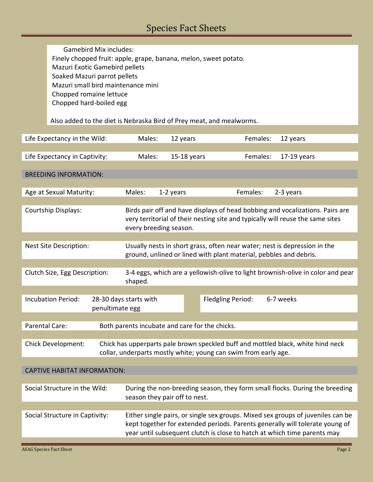Gamebird Mix includes: Finely chopped fruit: apple, grape, banana, melon, sweet potato. Mazuri Exotic Gamebird pellets Soaked Mazuri parrot pellets Mazuri small bird maintenance mini Chopped romaine lettuce Chopped hard-boiled egg

Also added to the diet is Nebraska Bird of Prey meat, and mealworms.

| Life Expectancy in the Wild:                                                                                                                                                     | Males:                                                                                                                                                                                    | 12 years                                                                                                                                                                                                                                    | Females: | 12 years      |  |  |  |  |
|----------------------------------------------------------------------------------------------------------------------------------------------------------------------------------|-------------------------------------------------------------------------------------------------------------------------------------------------------------------------------------------|---------------------------------------------------------------------------------------------------------------------------------------------------------------------------------------------------------------------------------------------|----------|---------------|--|--|--|--|
| Life Expectancy in Captivity:                                                                                                                                                    | Males:                                                                                                                                                                                    | 15-18 years                                                                                                                                                                                                                                 | Females: | $17-19$ years |  |  |  |  |
|                                                                                                                                                                                  |                                                                                                                                                                                           |                                                                                                                                                                                                                                             |          |               |  |  |  |  |
| <b>BREEDING INFORMATION:</b>                                                                                                                                                     |                                                                                                                                                                                           |                                                                                                                                                                                                                                             |          |               |  |  |  |  |
| Age at Sexual Maturity:                                                                                                                                                          | Males:                                                                                                                                                                                    | 1-2 years                                                                                                                                                                                                                                   | Females: | 2-3 years     |  |  |  |  |
| Courtship Displays:                                                                                                                                                              | Birds pair off and have displays of head bobbing and vocalizations. Pairs are<br>very territorial of their nesting site and typically will reuse the same sites<br>every breeding season. |                                                                                                                                                                                                                                             |          |               |  |  |  |  |
|                                                                                                                                                                                  |                                                                                                                                                                                           |                                                                                                                                                                                                                                             |          |               |  |  |  |  |
| Nest Site Description:                                                                                                                                                           | Usually nests in short grass, often near water; nest is depression in the<br>ground, unlined or lined with plant material, pebbles and debris.                                            |                                                                                                                                                                                                                                             |          |               |  |  |  |  |
|                                                                                                                                                                                  |                                                                                                                                                                                           |                                                                                                                                                                                                                                             |          |               |  |  |  |  |
| Clutch Size, Egg Description:                                                                                                                                                    | 3-4 eggs, which are a yellowish-olive to light brownish-olive in color and pear<br>shaped.                                                                                                |                                                                                                                                                                                                                                             |          |               |  |  |  |  |
|                                                                                                                                                                                  |                                                                                                                                                                                           |                                                                                                                                                                                                                                             |          |               |  |  |  |  |
| <b>Incubation Period:</b>                                                                                                                                                        | 28-30 days starts with<br>penultimate egg                                                                                                                                                 | 6-7 weeks<br>Fledgling Period:                                                                                                                                                                                                              |          |               |  |  |  |  |
|                                                                                                                                                                                  |                                                                                                                                                                                           |                                                                                                                                                                                                                                             |          |               |  |  |  |  |
| Parental Care:<br>Both parents incubate and care for the chicks.                                                                                                                 |                                                                                                                                                                                           |                                                                                                                                                                                                                                             |          |               |  |  |  |  |
| <b>Chick Development:</b><br>Chick has upperparts pale brown speckled buff and mottled black, white hind neck<br>collar, underparts mostly white; young can swim from early age. |                                                                                                                                                                                           |                                                                                                                                                                                                                                             |          |               |  |  |  |  |
|                                                                                                                                                                                  |                                                                                                                                                                                           |                                                                                                                                                                                                                                             |          |               |  |  |  |  |
| <b>CAPTIVE HABITAT INFORMATION:</b>                                                                                                                                              |                                                                                                                                                                                           |                                                                                                                                                                                                                                             |          |               |  |  |  |  |
| Social Structure in the Wild:                                                                                                                                                    | During the non-breeding season, they form small flocks. During the breeding<br>season they pair off to nest.                                                                              |                                                                                                                                                                                                                                             |          |               |  |  |  |  |
|                                                                                                                                                                                  |                                                                                                                                                                                           |                                                                                                                                                                                                                                             |          |               |  |  |  |  |
| Social Structure in Captivity:                                                                                                                                                   |                                                                                                                                                                                           | Either single pairs, or single sex groups. Mixed sex groups of juveniles can be<br>kept together for extended periods. Parents generally will tolerate young of<br>year until subsequent clutch is close to hatch at which time parents may |          |               |  |  |  |  |